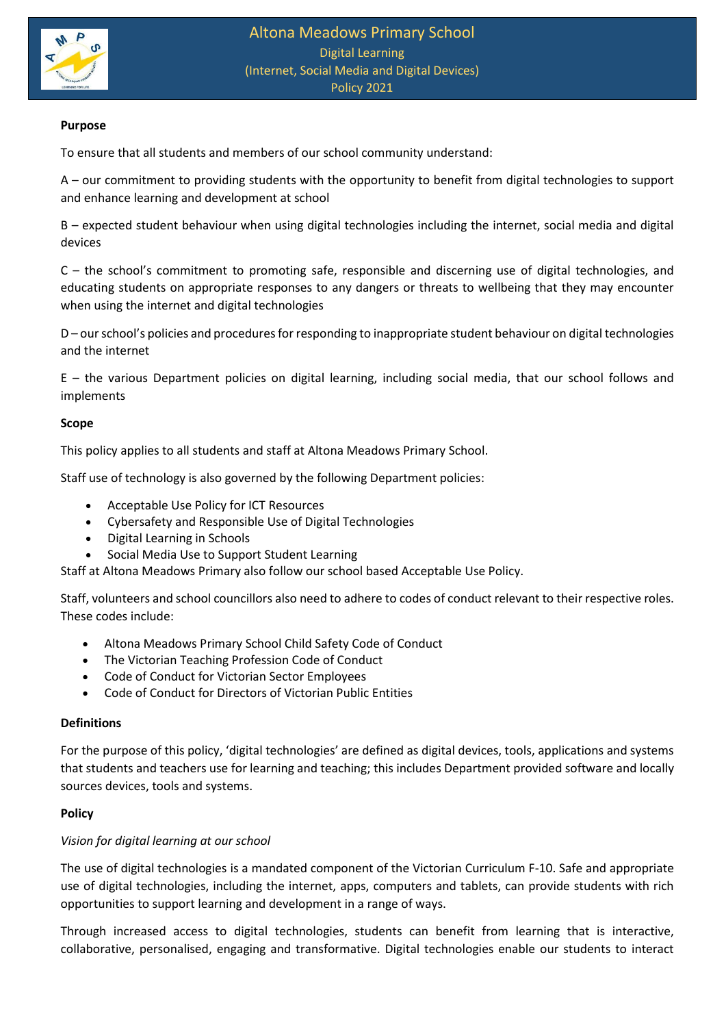

# **Purpose**

To ensure that all students and members of our school community understand:

A – our commitment to providing students with the opportunity to benefit from digital technologies to support and enhance learning and development at school

B – expected student behaviour when using digital technologies including the internet, social media and digital devices

C – the school's commitment to promoting safe, responsible and discerning use of digital technologies, and educating students on appropriate responses to any dangers or threats to wellbeing that they may encounter when using the internet and digital technologies

D – our school's policies and procedures for responding to inappropriate student behaviour on digital technologies and the internet

E – the various Department policies on digital learning, including social media, that our school follows and implements

### **Scope**

This policy applies to all students and staff at Altona Meadows Primary School.

Staff use of technology is also governed by the following Department policies:

- Acceptable Use Policy for ICT Resources
- Cybersafety and Responsible Use of Digital Technologies
- Digital Learning in Schools
- Social Media Use to Support Student Learning

Staff at Altona Meadows Primary also follow our school based Acceptable Use Policy.

Staff, volunteers and school councillors also need to adhere to codes of conduct relevant to their respective roles. These codes include:

- Altona Meadows Primary School Child Safety Code of Conduct
- The Victorian Teaching Profession Code of Conduct
- Code of Conduct for Victorian Sector Employees
- Code of Conduct for Directors of Victorian Public Entities

### **Definitions**

For the purpose of this policy, 'digital technologies' are defined as digital devices, tools, applications and systems that students and teachers use for learning and teaching; this includes Department provided software and locally sources devices, tools and systems.

### **Policy**

### *Vision for digital learning at our school*

The use of digital technologies is a mandated component of the Victorian Curriculum F-10. Safe and appropriate use of digital technologies, including the internet, apps, computers and tablets, can provide students with rich opportunities to support learning and development in a range of ways.

Through increased access to digital technologies, students can benefit from learning that is interactive, collaborative, personalised, engaging and transformative. Digital technologies enable our students to interact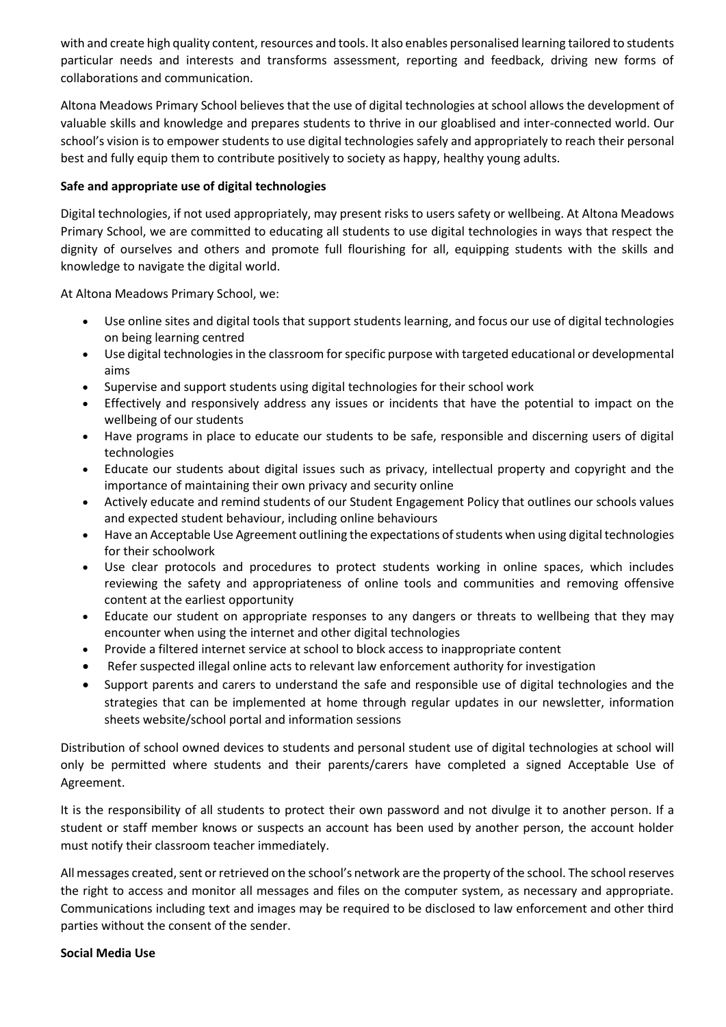with and create high quality content, resources and tools. It also enables personalised learning tailored to students particular needs and interests and transforms assessment, reporting and feedback, driving new forms of collaborations and communication.

Altona Meadows Primary School believes that the use of digital technologies at school allows the development of valuable skills and knowledge and prepares students to thrive in our gloablised and inter-connected world. Our school's vision is to empower students to use digital technologies safely and appropriately to reach their personal best and fully equip them to contribute positively to society as happy, healthy young adults.

# **Safe and appropriate use of digital technologies**

Digital technologies, if not used appropriately, may present risks to users safety or wellbeing. At Altona Meadows Primary School, we are committed to educating all students to use digital technologies in ways that respect the dignity of ourselves and others and promote full flourishing for all, equipping students with the skills and knowledge to navigate the digital world.

At Altona Meadows Primary School, we:

- Use online sites and digital tools that support students learning, and focus our use of digital technologies on being learning centred
- Use digital technologies in the classroom for specific purpose with targeted educational or developmental aims
- Supervise and support students using digital technologies for their school work
- Effectively and responsively address any issues or incidents that have the potential to impact on the wellbeing of our students
- Have programs in place to educate our students to be safe, responsible and discerning users of digital technologies
- Educate our students about digital issues such as privacy, intellectual property and copyright and the importance of maintaining their own privacy and security online
- Actively educate and remind students of our Student Engagement Policy that outlines our schools values and expected student behaviour, including online behaviours
- Have an Acceptable Use Agreement outlining the expectations of students when using digital technologies for their schoolwork
- Use clear protocols and procedures to protect students working in online spaces, which includes reviewing the safety and appropriateness of online tools and communities and removing offensive content at the earliest opportunity
- Educate our student on appropriate responses to any dangers or threats to wellbeing that they may encounter when using the internet and other digital technologies
- Provide a filtered internet service at school to block access to inappropriate content
- Refer suspected illegal online acts to relevant law enforcement authority for investigation
- Support parents and carers to understand the safe and responsible use of digital technologies and the strategies that can be implemented at home through regular updates in our newsletter, information sheets website/school portal and information sessions

Distribution of school owned devices to students and personal student use of digital technologies at school will only be permitted where students and their parents/carers have completed a signed Acceptable Use of Agreement.

It is the responsibility of all students to protect their own password and not divulge it to another person. If a student or staff member knows or suspects an account has been used by another person, the account holder must notify their classroom teacher immediately.

All messages created, sent or retrieved on the school's network are the property of the school. The school reserves the right to access and monitor all messages and files on the computer system, as necessary and appropriate. Communications including text and images may be required to be disclosed to law enforcement and other third parties without the consent of the sender.

### **Social Media Use**